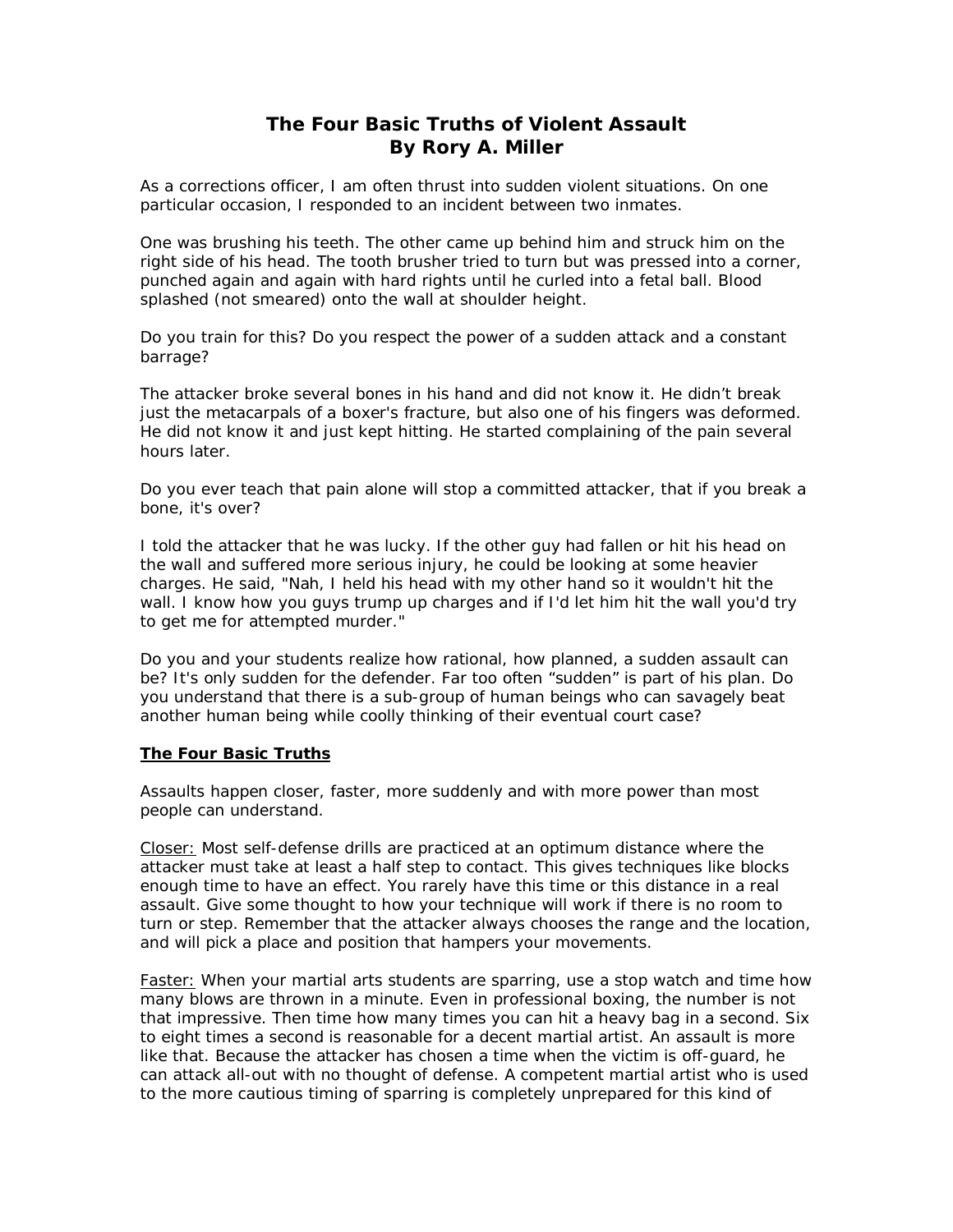## **The Four Basic Truths of Violent Assault By Rory A. Miller**

As a corrections officer, I am often thrust into sudden violent situations. On one particular occasion, I responded to an incident between two inmates.

One was brushing his teeth. The other came up behind him and struck him on the right side of his head. The tooth brusher tried to turn but was pressed into a corner, punched again and again with hard rights until he curled into a fetal ball. Blood splashed (not smeared) onto the wall at shoulder height.

Do you train for this? Do you respect the power of a sudden attack and a constant barrage?

The attacker broke several bones in his hand and did not know it. He didn't break just the metacarpals of a boxer's fracture, but also one of his fingers was deformed. He did not know it and just kept hitting. He started complaining of the pain several hours later.

Do you ever teach that pain alone will stop a committed attacker, that if you break a bone, it's over?

I told the attacker that he was lucky. If the other guy had fallen or hit his head on the wall and suffered more serious injury, he could be looking at some heavier charges. He said, "Nah, I held his head with my other hand so it wouldn't hit the wall. I know how you guys trump up charges and if I'd let him hit the wall you'd try to get me for attempted murder."

Do you and your students realize how rational, how planned, a sudden assault can be? It's only sudden for the defender. Far too often "sudden" is part of his plan. Do you understand that there is a sub-group of human beings who can savagely beat another human being while coolly thinking of their eventual court case?

## **The Four Basic Truths**

Assaults happen closer, faster, more suddenly and with more power than most people can understand.

Closer: Most self-defense drills are practiced at an optimum distance where the attacker must take at least a half step to contact. This gives techniques like blocks enough time to have an effect. You rarely have this time or this distance in a real assault. Give some thought to how your technique will work if there is no room to turn or step. Remember that the attacker always chooses the range and the location, and will pick a place and position that hampers your movements.

Faster: When your martial arts students are sparring, use a stop watch and time how many blows are thrown in a minute. Even in professional boxing, the number is not that impressive. Then time how many times you can hit a heavy bag in a second. Six to eight times a second is reasonable for a decent martial artist. An assault is more like that. Because the attacker has chosen a time when the victim is off-guard, he can attack all-out with no thought of defense. A competent martial artist who is used to the more cautious timing of sparring is completely unprepared for this kind of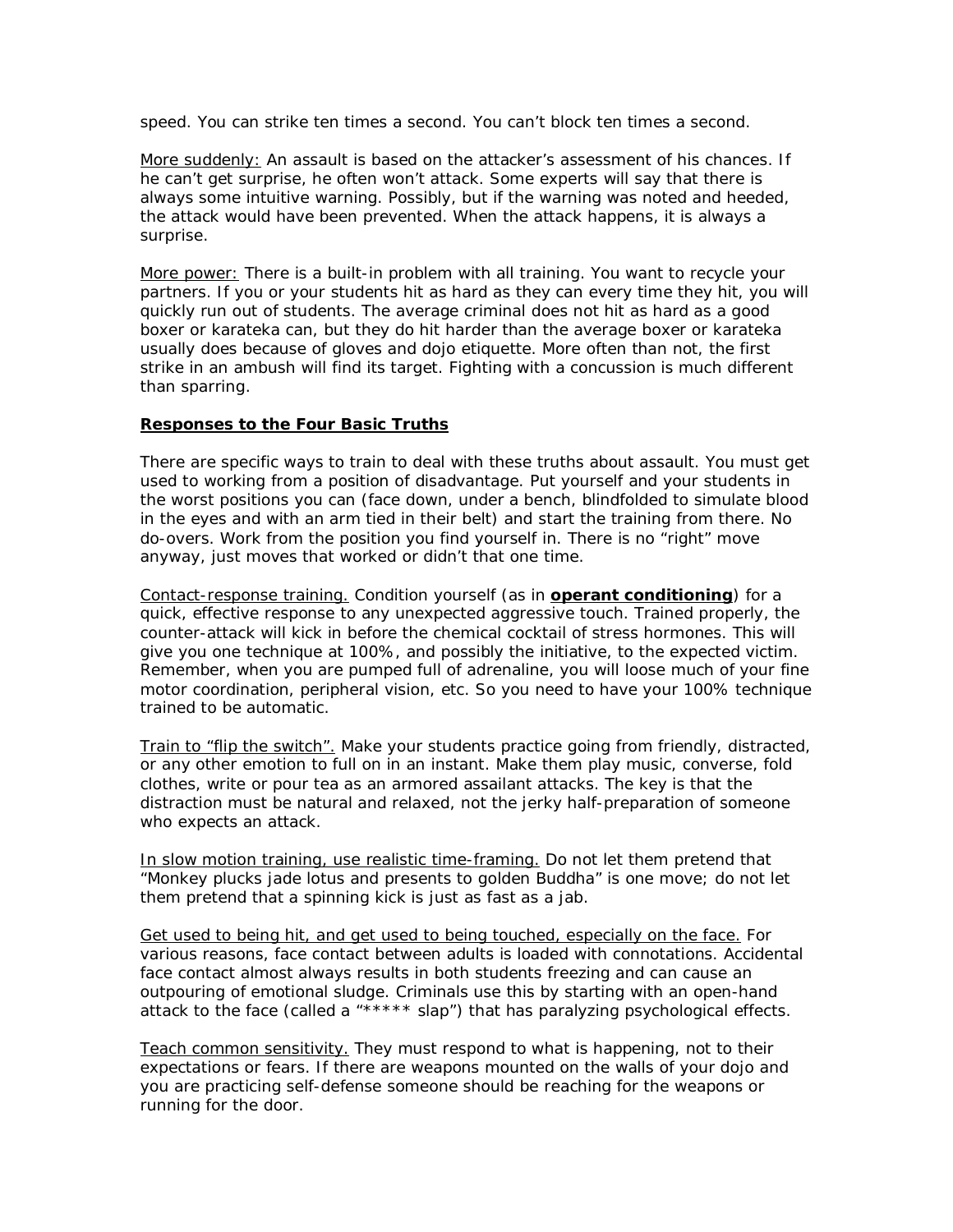speed. You can strike ten times a second. You can't block ten times a second.

More suddenly: An assault is based on the attacker's assessment of his chances. If he can't get surprise, he often won't attack. Some experts will say that there is always some intuitive warning. Possibly, but if the warning was noted and heeded, the attack would have been prevented. When the attack happens, it is always a surprise.

More power: There is a built-in problem with all training. You want to recycle your partners. If you or your students hit as hard as they can every time they hit, you will quickly run out of students. The average criminal does not hit as hard as a good boxer or karateka can, but they do hit harder than the average boxer or karateka usually does because of gloves and dojo etiquette. More often than not, the first strike in an ambush will find its target. Fighting with a concussion is much different than sparring.

## **Responses to the Four Basic Truths**

There are specific ways to train to deal with these truths about assault. You must get used to working from a position of disadvantage. Put yourself and your students in the worst positions you can (face down, under a bench, blindfolded to simulate blood in the eyes and with an arm tied in their belt) and start the training from there. No do-overs. Work from the position you find yourself in. There is no "right" move anyway, just moves that worked or didn't that one time.

Contact-response training. Condition yourself (as in **[operant conditioning](http://dictionary.reference.com/search?q=operant%20conditioning)**) for a quick, effective response to any unexpected aggressive touch. Trained properly, the counter-attack will kick in *before* the chemical cocktail of stress hormones. This will give you one technique at 100%, and possibly the initiative, to the expected victim. Remember, when you are pumped full of adrenaline, you will loose much of your fine motor coordination, peripheral vision, etc. So you need to have your 100% technique trained to be automatic.

Train to "flip the switch". Make your students practice going from friendly, distracted, or any other emotion to full on in an instant. Make them play music, converse, fold clothes, write or pour tea as an armored assailant attacks. The key is that the distraction must be natural and relaxed, not the jerky half-preparation of someone who expects an attack.

In slow motion training, use realistic time-framing. Do not let them pretend that "Monkey plucks jade lotus and presents to golden Buddha" is one move; do not let them pretend that a spinning kick is just as fast as a jab.

Get used to being hit, and get used to being touched, especially on the face. For various reasons, face contact between adults is loaded with connotations. Accidental face contact almost always results in both students freezing and can cause an outpouring of emotional sludge. Criminals use this by starting with an open-hand attack to the face (called a "\*\*\*\*\* slap") that has paralyzing *psychological* effects.

Teach common sensitivity. They must respond to what is happening, not to their expectations or fears. If there are weapons mounted on the walls of your dojo and you are practicing self-defense someone should be reaching for the weapons or running for the door.